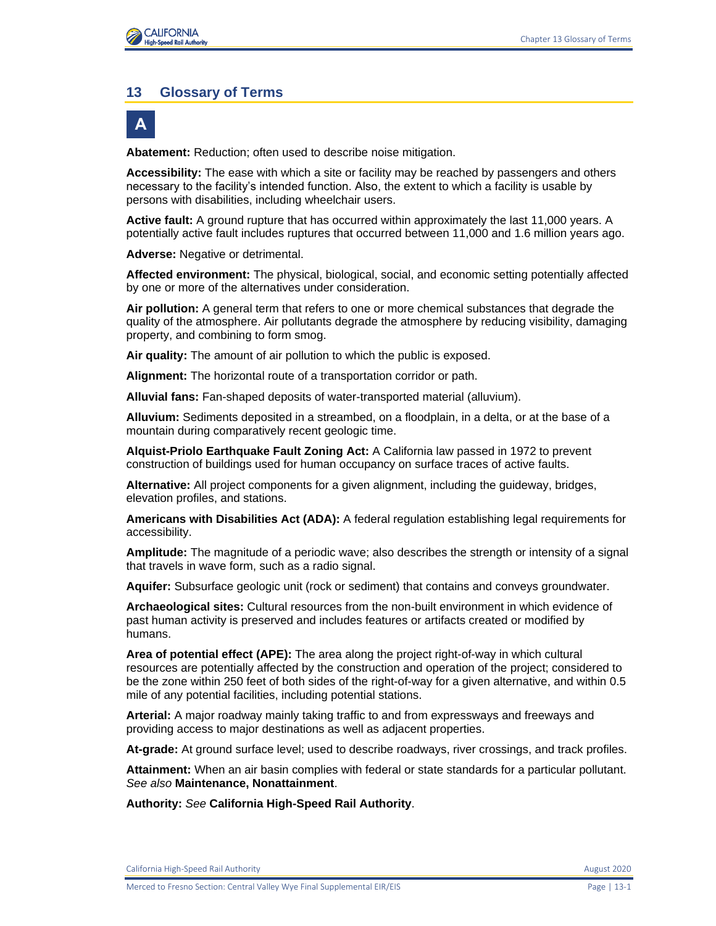#### **13 Glossary of Terms**



**Abatement:** Reduction; often used to describe noise mitigation.

**Accessibility:** The ease with which a site or facility may be reached by passengers and others necessary to the facility's intended function. Also, the extent to which a facility is usable by persons with disabilities, including wheelchair users.

**Active fault:** A ground rupture that has occurred within approximately the last 11,000 years. A potentially active fault includes ruptures that occurred between 11,000 and 1.6 million years ago.

**Adverse:** Negative or detrimental.

**Affected environment:** The physical, biological, social, and economic setting potentially affected by one or more of the alternatives under consideration.

**Air pollution:** A general term that refers to one or more chemical substances that degrade the quality of the atmosphere. Air pollutants degrade the atmosphere by reducing visibility, damaging property, and combining to form smog.

**Air quality:** The amount of air pollution to which the public is exposed.

**Alignment:** The horizontal route of a transportation corridor or path.

**Alluvial fans:** Fan-shaped deposits of water-transported material (alluvium).

**Alluvium:** Sediments deposited in a streambed, on a floodplain, in a delta, or at the base of a mountain during comparatively recent geologic time.

**Alquist-Priolo Earthquake Fault Zoning Act:** A California law passed in 1972 to prevent construction of buildings used for human occupancy on surface traces of active faults.

**Alternative:** All project components for a given alignment, including the guideway, bridges, elevation profiles, and stations.

**Americans with Disabilities Act (ADA):** A federal regulation establishing legal requirements for accessibility.

**Amplitude:** The magnitude of a periodic wave; also describes the strength or intensity of a signal that travels in wave form, such as a radio signal.

**Aquifer:** Subsurface geologic unit (rock or sediment) that contains and conveys groundwater.

**Archaeological sites:** Cultural resources from the non-built environment in which evidence of past human activity is preserved and includes features or artifacts created or modified by humans.

**Area of potential effect (APE):** The area along the project right-of-way in which cultural resources are potentially affected by the construction and operation of the project; considered to be the zone within 250 feet of both sides of the right-of-way for a given alternative, and within 0.5 mile of any potential facilities, including potential stations.

**Arterial:** A major roadway mainly taking traffic to and from expressways and freeways and providing access to major destinations as well as adjacent properties.

**At-grade:** At ground surface level; used to describe roadways, river crossings, and track profiles.

**Attainment:** When an air basin complies with federal or state standards for a particular pollutant. *See also* **Maintenance, Nonattainment**.

**Authority:** *See* **California High-Speed Rail Authority**.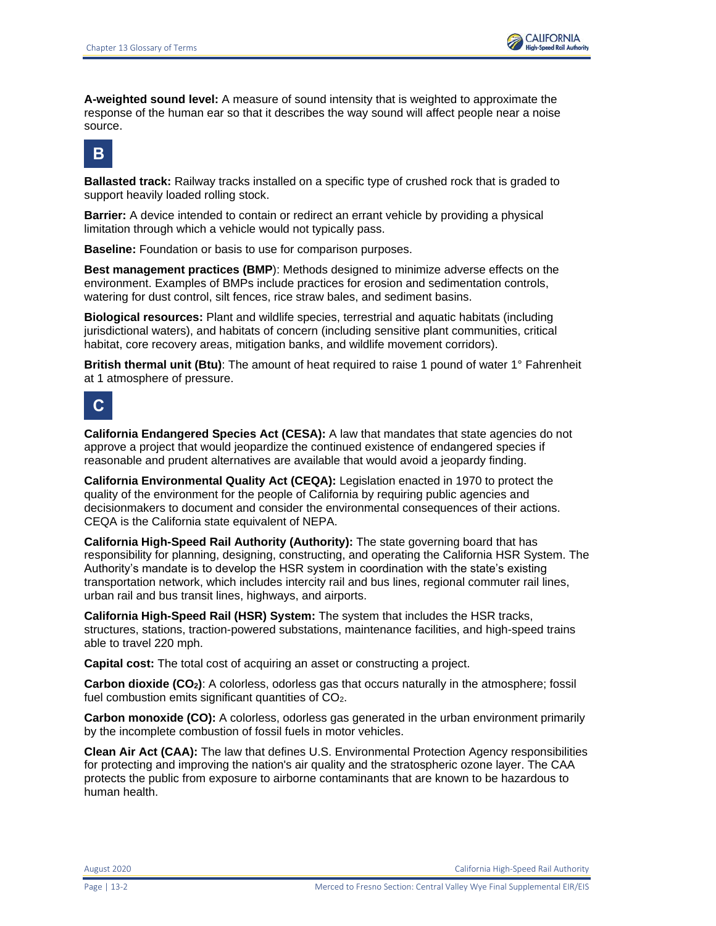

**A-weighted sound level:** A measure of sound intensity that is weighted to approximate the response of the human ear so that it describes the way sound will affect people near a noise source.



**Ballasted track:** Railway tracks installed on a specific type of crushed rock that is graded to support heavily loaded rolling stock.

**Barrier:** A device intended to contain or redirect an errant vehicle by providing a physical limitation through which a vehicle would not typically pass.

**Baseline:** Foundation or basis to use for comparison purposes.

**Best management practices (BMP**): Methods designed to minimize adverse effects on the environment. Examples of BMPs include practices for erosion and sedimentation controls, watering for dust control, silt fences, rice straw bales, and sediment basins.

**Biological resources:** Plant and wildlife species, terrestrial and aquatic habitats (including jurisdictional waters), and habitats of concern (including sensitive plant communities, critical habitat, core recovery areas, mitigation banks, and wildlife movement corridors).

**British thermal unit (Btu)**: The amount of heat required to raise 1 pound of water 1° Fahrenheit at 1 atmosphere of pressure.



**California Endangered Species Act (CESA):** A law that mandates that state agencies do not approve a project that would jeopardize the continued existence of endangered species if reasonable and prudent alternatives are available that would avoid a jeopardy finding.

**California Environmental Quality Act (CEQA):** Legislation enacted in 1970 to protect the quality of the environment for the people of California by requiring public agencies and decisionmakers to document and consider the environmental consequences of their actions. CEQA is the California state equivalent of NEPA.

**California High-Speed Rail Authority (Authority):** The state governing board that has responsibility for planning, designing, constructing, and operating the California HSR System. The Authority's mandate is to develop the HSR system in coordination with the state's existing transportation network, which includes intercity rail and bus lines, regional commuter rail lines, urban rail and bus transit lines, highways, and airports.

**California High-Speed Rail (HSR) System:** The system that includes the HSR tracks, structures, stations, traction-powered substations, maintenance facilities, and high-speed trains able to travel 220 mph.

**Capital cost:** The total cost of acquiring an asset or constructing a project.

**Carbon dioxide (CO2)**: A colorless, odorless gas that occurs naturally in the atmosphere; fossil fuel combustion emits significant quantities of CO2.

**Carbon monoxide (CO):** A colorless, odorless gas generated in the urban environment primarily by the incomplete combustion of fossil fuels in motor vehicles.

**Clean Air Act (CAA):** The law that defines U.S. Environmental Protection Agency responsibilities for protecting and improving the nation's air quality and the stratospheric ozone layer. The CAA protects the public from exposure to airborne contaminants that are known to be hazardous to human health.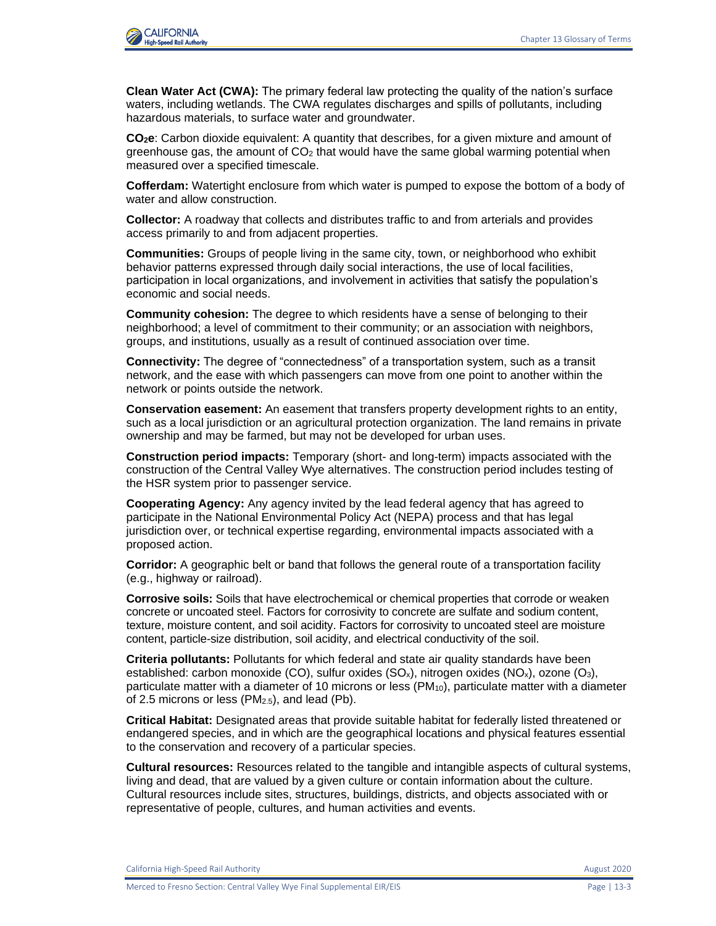

**Clean Water Act (CWA):** The primary federal law protecting the quality of the nation's surface waters, including wetlands. The CWA regulates discharges and spills of pollutants, including hazardous materials, to surface water and groundwater.

**CO2e**: Carbon dioxide equivalent: A quantity that describes, for a given mixture and amount of greenhouse gas, the amount of  $CO<sub>2</sub>$  that would have the same global warming potential when measured over a specified timescale.

**Cofferdam:** Watertight enclosure from which water is pumped to expose the bottom of a body of water and allow construction.

**Collector:** A roadway that collects and distributes traffic to and from arterials and provides access primarily to and from adjacent properties.

**Communities:** Groups of people living in the same city, town, or neighborhood who exhibit behavior patterns expressed through daily social interactions, the use of local facilities, participation in local organizations, and involvement in activities that satisfy the population's economic and social needs.

**Community cohesion:** The degree to which residents have a sense of belonging to their neighborhood; a level of commitment to their community; or an association with neighbors, groups, and institutions, usually as a result of continued association over time.

**Connectivity:** The degree of "connectedness" of a transportation system, such as a transit network, and the ease with which passengers can move from one point to another within the network or points outside the network.

**Conservation easement:** An easement that transfers property development rights to an entity, such as a local jurisdiction or an agricultural protection organization. The land remains in private ownership and may be farmed, but may not be developed for urban uses.

**Construction period impacts:** Temporary (short- and long-term) impacts associated with the construction of the Central Valley Wye alternatives. The construction period includes testing of the HSR system prior to passenger service.

**Cooperating Agency:** Any agency invited by the lead federal agency that has agreed to participate in the National Environmental Policy Act (NEPA) process and that has legal jurisdiction over, or technical expertise regarding, environmental impacts associated with a proposed action.

**Corridor:** A geographic belt or band that follows the general route of a transportation facility (e.g., highway or railroad).

**Corrosive soils:** Soils that have electrochemical or chemical properties that corrode or weaken concrete or uncoated steel. Factors for corrosivity to concrete are sulfate and sodium content, texture, moisture content, and soil acidity. Factors for corrosivity to uncoated steel are moisture content, particle-size distribution, soil acidity, and electrical conductivity of the soil.

**Criteria pollutants:** Pollutants for which federal and state air quality standards have been established: carbon monoxide (CO), sulfur oxides (SO<sub>x</sub>), nitrogen oxides (NO<sub>x</sub>), ozone (O<sub>3</sub>), particulate matter with a diameter of 10 microns or less  $(PM_{10})$ , particulate matter with a diameter of 2.5 microns or less (PM2.5), and lead (Pb).

**Critical Habitat:** Designated areas that provide suitable habitat for federally listed threatened or endangered species, and in which are the geographical locations and physical features essential to the conservation and recovery of a particular species.

**Cultural resources:** Resources related to the tangible and intangible aspects of cultural systems, living and dead, that are valued by a given culture or contain information about the culture. Cultural resources include sites, structures, buildings, districts, and objects associated with or representative of people, cultures, and human activities and events.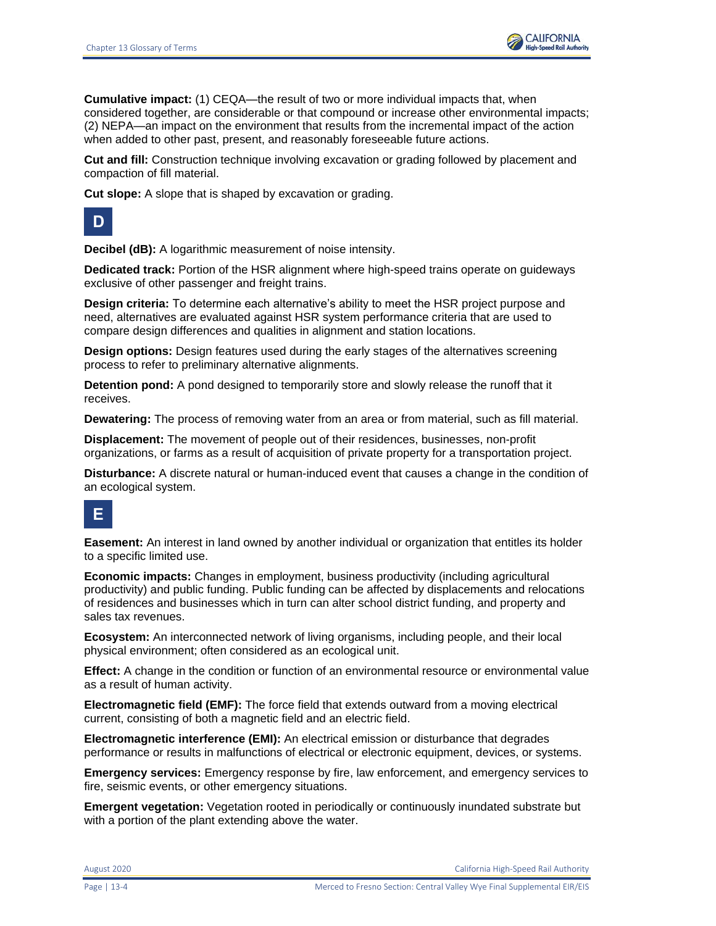

**Cumulative impact:** (1) CEQA—the result of two or more individual impacts that, when considered together, are considerable or that compound or increase other environmental impacts; (2) NEPA—an impact on the environment that results from the incremental impact of the action when added to other past, present, and reasonably foreseeable future actions.

**Cut and fill:** Construction technique involving excavation or grading followed by placement and compaction of fill material.

**Cut slope:** A slope that is shaped by excavation or grading.



**Decibel (dB):** A logarithmic measurement of noise intensity.

**Dedicated track:** Portion of the HSR alignment where high-speed trains operate on guideways exclusive of other passenger and freight trains.

**Design criteria:** To determine each alternative's ability to meet the HSR project purpose and need, alternatives are evaluated against HSR system performance criteria that are used to compare design differences and qualities in alignment and station locations.

**Design options:** Design features used during the early stages of the alternatives screening process to refer to preliminary alternative alignments.

**Detention pond:** A pond designed to temporarily store and slowly release the runoff that it receives.

**Dewatering:** The process of removing water from an area or from material, such as fill material.

**Displacement:** The movement of people out of their residences, businesses, non-profit organizations, or farms as a result of acquisition of private property for a transportation project.

**Disturbance:** A discrete natural or human-induced event that causes a change in the condition of an ecological system.

### **E**

**Easement:** An interest in land owned by another individual or organization that entitles its holder to a specific limited use.

**Economic impacts:** Changes in employment, business productivity (including agricultural productivity) and public funding. Public funding can be affected by displacements and relocations of residences and businesses which in turn can alter school district funding, and property and sales tax revenues.

**Ecosystem:** An interconnected network of living organisms, including people, and their local physical environment; often considered as an ecological unit.

**Effect:** A change in the condition or function of an environmental resource or environmental value as a result of human activity.

**Electromagnetic field (EMF):** The force field that extends outward from a moving electrical current, consisting of both a magnetic field and an electric field.

**Electromagnetic interference (EMI):** An electrical emission or disturbance that degrades performance or results in malfunctions of electrical or electronic equipment, devices, or systems.

**Emergency services:** Emergency response by fire, law enforcement, and emergency services to fire, seismic events, or other emergency situations.

**Emergent vegetation:** Vegetation rooted in periodically or continuously inundated substrate but with a portion of the plant extending above the water.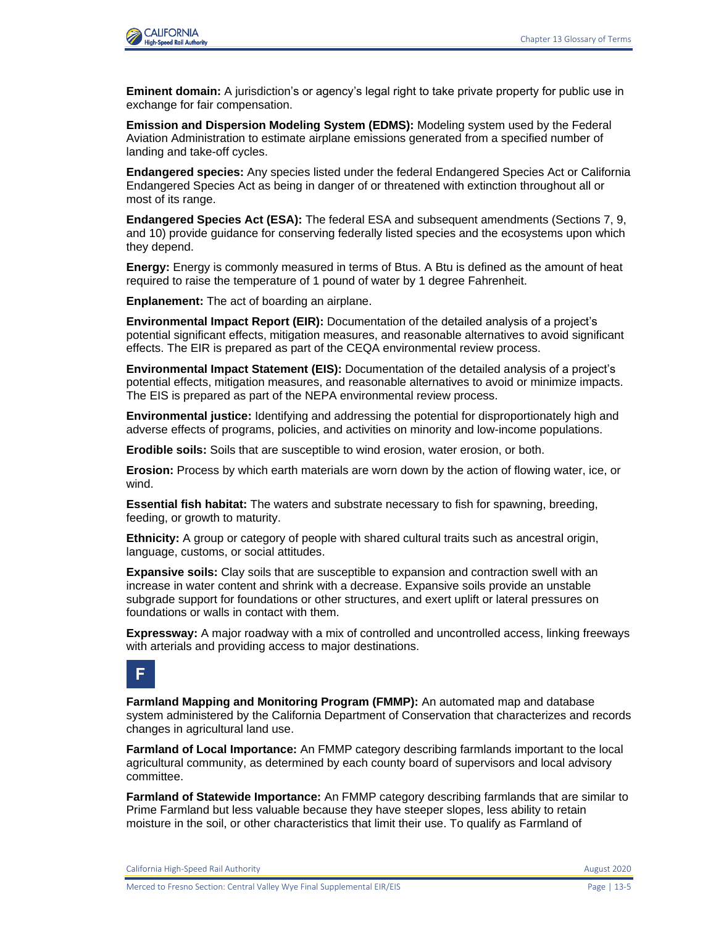

**Eminent domain:** A jurisdiction's or agency's legal right to take private property for public use in exchange for fair compensation.

**Emission and Dispersion Modeling System (EDMS):** Modeling system used by the Federal Aviation Administration to estimate airplane emissions generated from a specified number of landing and take-off cycles.

**Endangered species:** Any species listed under the federal Endangered Species Act or California Endangered Species Act as being in danger of or threatened with extinction throughout all or most of its range.

**Endangered Species Act (ESA):** The federal ESA and subsequent amendments (Sections 7, 9, and 10) provide guidance for conserving federally listed species and the ecosystems upon which they depend.

**Energy:** Energy is commonly measured in terms of Btus. A Btu is defined as the amount of heat required to raise the temperature of 1 pound of water by 1 degree Fahrenheit.

**Enplanement:** The act of boarding an airplane.

**Environmental Impact Report (EIR):** Documentation of the detailed analysis of a project's potential significant effects, mitigation measures, and reasonable alternatives to avoid significant effects. The EIR is prepared as part of the CEQA environmental review process.

**Environmental Impact Statement (EIS):** Documentation of the detailed analysis of a project's potential effects, mitigation measures, and reasonable alternatives to avoid or minimize impacts. The EIS is prepared as part of the NEPA environmental review process.

**Environmental justice:** Identifying and addressing the potential for disproportionately high and adverse effects of programs, policies, and activities on minority and low-income populations.

**Erodible soils:** Soils that are susceptible to wind erosion, water erosion, or both.

**Erosion:** Process by which earth materials are worn down by the action of flowing water, ice, or wind.

**Essential fish habitat:** The waters and substrate necessary to fish for spawning, breeding, feeding, or growth to maturity.

**Ethnicity:** A group or category of people with shared cultural traits such as ancestral origin, language, customs, or social attitudes.

**Expansive soils:** Clay soils that are susceptible to expansion and contraction swell with an increase in water content and shrink with a decrease. Expansive soils provide an unstable subgrade support for foundations or other structures, and exert uplift or lateral pressures on foundations or walls in contact with them.

**Expressway:** A major roadway with a mix of controlled and uncontrolled access, linking freeways with arterials and providing access to major destinations.



**Farmland Mapping and Monitoring Program (FMMP):** An automated map and database system administered by the California Department of Conservation that characterizes and records changes in agricultural land use.

**Farmland of Local Importance:** An FMMP category describing farmlands important to the local agricultural community, as determined by each county board of supervisors and local advisory committee.

**Farmland of Statewide Importance:** An FMMP category describing farmlands that are similar to Prime Farmland but less valuable because they have steeper slopes, less ability to retain moisture in the soil, or other characteristics that limit their use. To qualify as Farmland of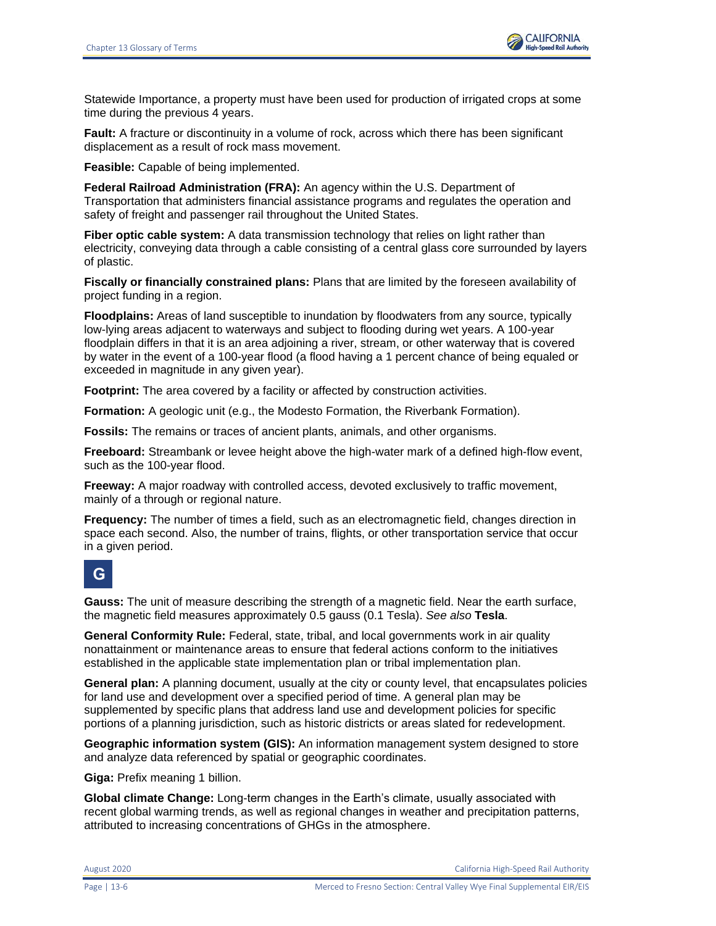

Statewide Importance, a property must have been used for production of irrigated crops at some time during the previous 4 years.

**Fault:** A fracture or discontinuity in a volume of rock, across which there has been significant displacement as a result of rock mass movement.

**Feasible:** Capable of being implemented.

**Federal Railroad Administration (FRA):** An agency within the U.S. Department of Transportation that administers financial assistance programs and regulates the operation and safety of freight and passenger rail throughout the United States.

**Fiber optic cable system:** A data transmission technology that relies on light rather than electricity, conveying data through a cable consisting of a central glass core surrounded by layers of plastic.

**Fiscally or financially constrained plans:** Plans that are limited by the foreseen availability of project funding in a region.

**Floodplains:** Areas of land susceptible to inundation by floodwaters from any source, typically low-lying areas adjacent to waterways and subject to flooding during wet years. A 100-year floodplain differs in that it is an area adjoining a river, stream, or other waterway that is covered by water in the event of a 100-year flood (a flood having a 1 percent chance of being equaled or exceeded in magnitude in any given year).

**Footprint:** The area covered by a facility or affected by construction activities.

**Formation:** A geologic unit (e.g., the Modesto Formation, the Riverbank Formation).

**Fossils:** The remains or traces of ancient plants, animals, and other organisms.

**Freeboard:** Streambank or levee height above the high-water mark of a defined high-flow event, such as the 100-year flood.

**Freeway:** A major roadway with controlled access, devoted exclusively to traffic movement, mainly of a through or regional nature.

**Frequency:** The number of times a field, such as an electromagnetic field, changes direction in space each second. Also, the number of trains, flights, or other transportation service that occur in a given period.

#### **G**

**Gauss:** The unit of measure describing the strength of a magnetic field. Near the earth surface, the magnetic field measures approximately 0.5 gauss (0.1 Tesla). *See also* **Tesla**.

**General Conformity Rule:** Federal, state, tribal, and local governments work in air quality nonattainment or maintenance areas to ensure that federal actions conform to the initiatives established in the applicable state implementation plan or tribal implementation plan.

**General plan:** A planning document, usually at the city or county level, that encapsulates policies for land use and development over a specified period of time. A general plan may be supplemented by specific plans that address land use and development policies for specific portions of a planning jurisdiction, such as historic districts or areas slated for redevelopment.

**Geographic information system (GIS):** An information management system designed to store and analyze data referenced by spatial or geographic coordinates.

**Giga:** Prefix meaning 1 billion.

**Global climate Change:** Long-term changes in the Earth's climate, usually associated with recent global warming trends, as well as regional changes in weather and precipitation patterns, attributed to increasing concentrations of GHGs in the atmosphere.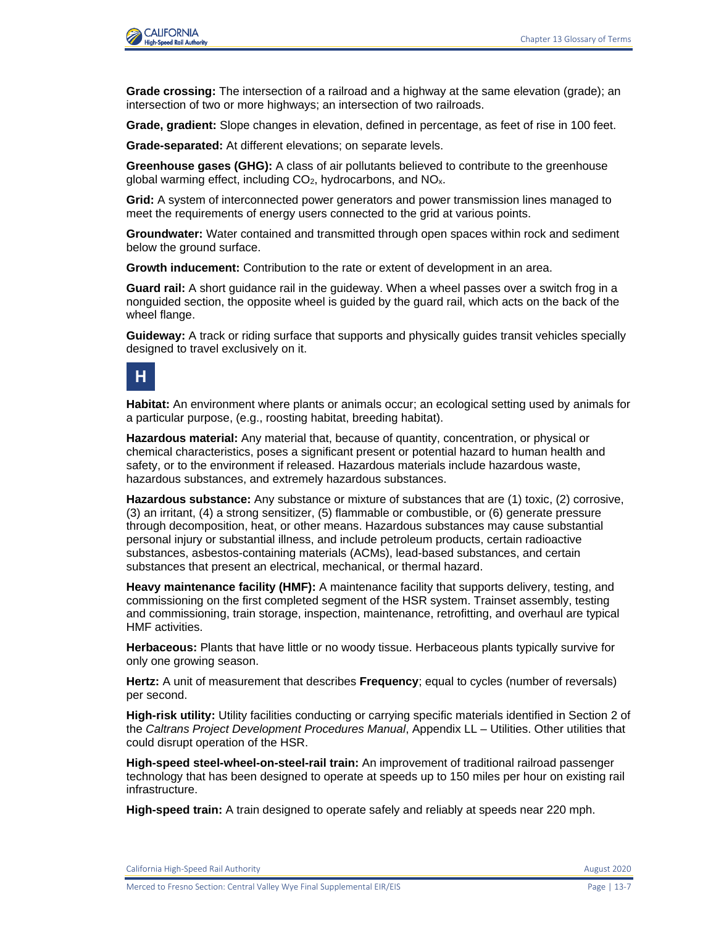

**Grade crossing:** The intersection of a railroad and a highway at the same elevation (grade); an intersection of two or more highways; an intersection of two railroads.

**Grade, gradient:** Slope changes in elevation, defined in percentage, as feet of rise in 100 feet.

**Grade-separated:** At different elevations; on separate levels.

**Greenhouse gases (GHG):** A class of air pollutants believed to contribute to the greenhouse global warming effect, including  $CO<sub>2</sub>$ , hydrocarbons, and  $NO<sub>x</sub>$ .

**Grid:** A system of interconnected power generators and power transmission lines managed to meet the requirements of energy users connected to the grid at various points.

**Groundwater:** Water contained and transmitted through open spaces within rock and sediment below the ground surface.

**Growth inducement:** Contribution to the rate or extent of development in an area.

**Guard rail:** A short guidance rail in the guideway. When a wheel passes over a switch frog in a nonguided section, the opposite wheel is guided by the guard rail, which acts on the back of the wheel flange.

**Guideway:** A track or riding surface that supports and physically guides transit vehicles specially designed to travel exclusively on it.

#### **H**

**Habitat:** An environment where plants or animals occur; an ecological setting used by animals for a particular purpose, (e.g., roosting habitat, breeding habitat).

**Hazardous material:** Any material that, because of quantity, concentration, or physical or chemical characteristics, poses a significant present or potential hazard to human health and safety, or to the environment if released. Hazardous materials include hazardous waste, hazardous substances, and extremely hazardous substances.

**Hazardous substance:** Any substance or mixture of substances that are (1) toxic, (2) corrosive, (3) an irritant, (4) a strong sensitizer, (5) flammable or combustible, or (6) generate pressure through decomposition, heat, or other means. Hazardous substances may cause substantial personal injury or substantial illness, and include petroleum products, certain radioactive substances, asbestos-containing materials (ACMs), lead-based substances, and certain substances that present an electrical, mechanical, or thermal hazard.

**Heavy maintenance facility (HMF):** A maintenance facility that supports delivery, testing, and commissioning on the first completed segment of the HSR system. Trainset assembly, testing and commissioning, train storage, inspection, maintenance, retrofitting, and overhaul are typical HMF activities.

**Herbaceous:** Plants that have little or no woody tissue. Herbaceous plants typically survive for only one growing season.

**Hertz:** A unit of measurement that describes **Frequency**; equal to cycles (number of reversals) per second.

**High-risk utility:** Utility facilities conducting or carrying specific materials identified in Section 2 of the *Caltrans Project Development Procedures Manual*, Appendix LL – Utilities. Other utilities that could disrupt operation of the HSR.

**High-speed steel-wheel-on-steel-rail train:** An improvement of traditional railroad passenger technology that has been designed to operate at speeds up to 150 miles per hour on existing rail infrastructure.

**High-speed train:** A train designed to operate safely and reliably at speeds near 220 mph.

California High-Speed Rail Authority **August 2020** 2020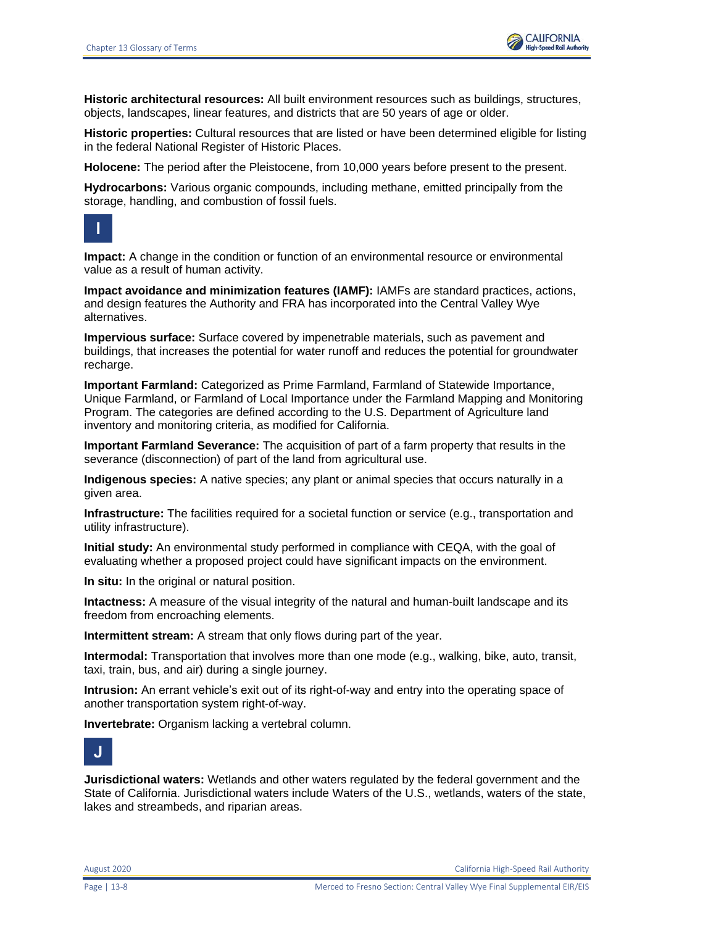

**Historic architectural resources:** All built environment resources such as buildings, structures, objects, landscapes, linear features, and districts that are 50 years of age or older.

**Historic properties:** Cultural resources that are listed or have been determined eligible for listing in the federal National Register of Historic Places.

**Holocene:** The period after the Pleistocene, from 10,000 years before present to the present.

**Hydrocarbons:** Various organic compounds, including methane, emitted principally from the storage, handling, and combustion of fossil fuels.



**Impact:** A change in the condition or function of an environmental resource or environmental value as a result of human activity.

**Impact avoidance and minimization features (IAMF):** IAMFs are standard practices, actions, and design features the Authority and FRA has incorporated into the Central Valley Wye alternatives.

**Impervious surface:** Surface covered by impenetrable materials, such as pavement and buildings, that increases the potential for water runoff and reduces the potential for groundwater recharge.

**Important Farmland:** Categorized as Prime Farmland, Farmland of Statewide Importance, Unique Farmland, or Farmland of Local Importance under the Farmland Mapping and Monitoring Program. The categories are defined according to the U.S. Department of Agriculture land inventory and monitoring criteria, as modified for California.

**Important Farmland Severance:** The acquisition of part of a farm property that results in the severance (disconnection) of part of the land from agricultural use.

**Indigenous species:** A native species; any plant or animal species that occurs naturally in a given area.

**Infrastructure:** The facilities required for a societal function or service (e.g., transportation and utility infrastructure).

**Initial study:** An environmental study performed in compliance with CEQA, with the goal of evaluating whether a proposed project could have significant impacts on the environment.

**In situ:** In the original or natural position.

**Intactness:** A measure of the visual integrity of the natural and human-built landscape and its freedom from encroaching elements.

**Intermittent stream:** A stream that only flows during part of the year.

**Intermodal:** Transportation that involves more than one mode (e.g., walking, bike, auto, transit, taxi, train, bus, and air) during a single journey.

**Intrusion:** An errant vehicle's exit out of its right-of-way and entry into the operating space of another transportation system right-of-way.

**Invertebrate:** Organism lacking a vertebral column.



**Jurisdictional waters:** Wetlands and other waters regulated by the federal government and the State of California. Jurisdictional waters include Waters of the U.S., wetlands, waters of the state, lakes and streambeds, and riparian areas.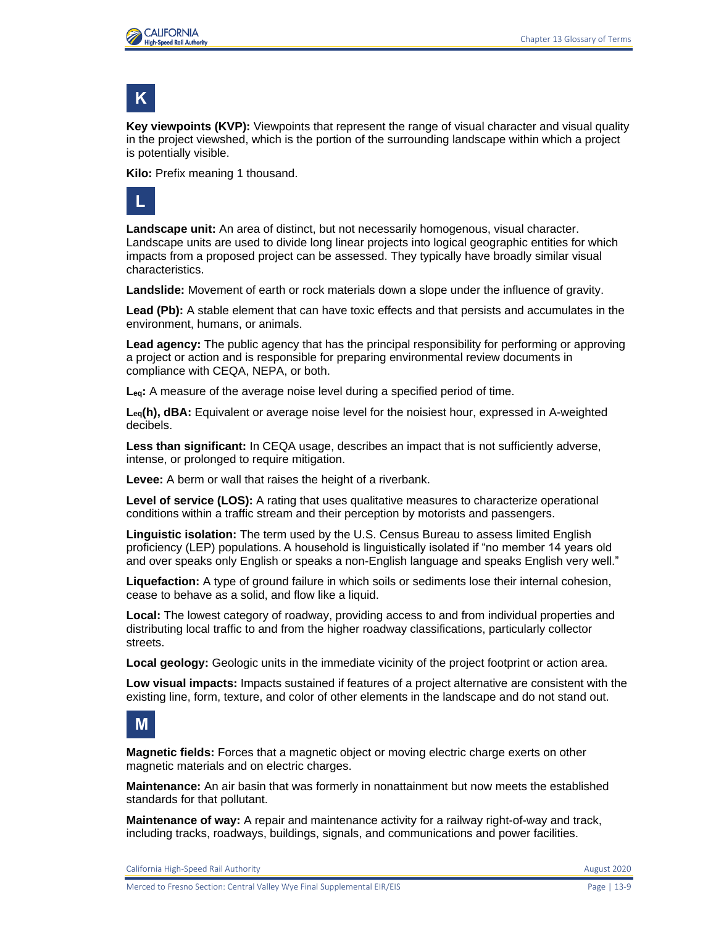

## **K**

**Key viewpoints (KVP):** Viewpoints that represent the range of visual character and visual quality in the project viewshed, which is the portion of the surrounding landscape within which a project is potentially visible.

**Kilo:** Prefix meaning 1 thousand.



**Landscape unit:** An area of distinct, but not necessarily homogenous, visual character. Landscape units are used to divide long linear projects into logical geographic entities for which impacts from a proposed project can be assessed. They typically have broadly similar visual characteristics.

**Landslide:** Movement of earth or rock materials down a slope under the influence of gravity.

**Lead (Pb):** A stable element that can have toxic effects and that persists and accumulates in the environment, humans, or animals.

**Lead agency:** The public agency that has the principal responsibility for performing or approving a project or action and is responsible for preparing environmental review documents in compliance with CEQA, NEPA, or both.

**Leq:** A measure of the average noise level during a specified period of time.

**Leq(h), dBA:** Equivalent or average noise level for the noisiest hour, expressed in A-weighted decibels.

**Less than significant:** In CEQA usage, describes an impact that is not sufficiently adverse, intense, or prolonged to require mitigation.

**Levee:** A berm or wall that raises the height of a riverbank.

**Level of service (LOS):** A rating that uses qualitative measures to characterize operational conditions within a traffic stream and their perception by motorists and passengers.

**Linguistic isolation:** The term used by the U.S. Census Bureau to assess limited English proficiency (LEP) populations. A household is linguistically isolated if "no member 14 years old and over speaks only English or speaks a non-English language and speaks English very well."

**Liquefaction:** A type of ground failure in which soils or sediments lose their internal cohesion, cease to behave as a solid, and flow like a liquid.

**Local:** The lowest category of roadway, providing access to and from individual properties and distributing local traffic to and from the higher roadway classifications, particularly collector streets.

**Local geology:** Geologic units in the immediate vicinity of the project footprint or action area.

**Low visual impacts:** Impacts sustained if features of a project alternative are consistent with the existing line, form, texture, and color of other elements in the landscape and do not stand out.

#### **M**

**Magnetic fields:** Forces that a magnetic object or moving electric charge exerts on other magnetic materials and on electric charges.

**Maintenance:** An air basin that was formerly in nonattainment but now meets the established standards for that pollutant.

**Maintenance of way:** A repair and maintenance activity for a railway right-of-way and track, including tracks, roadways, buildings, signals, and communications and power facilities.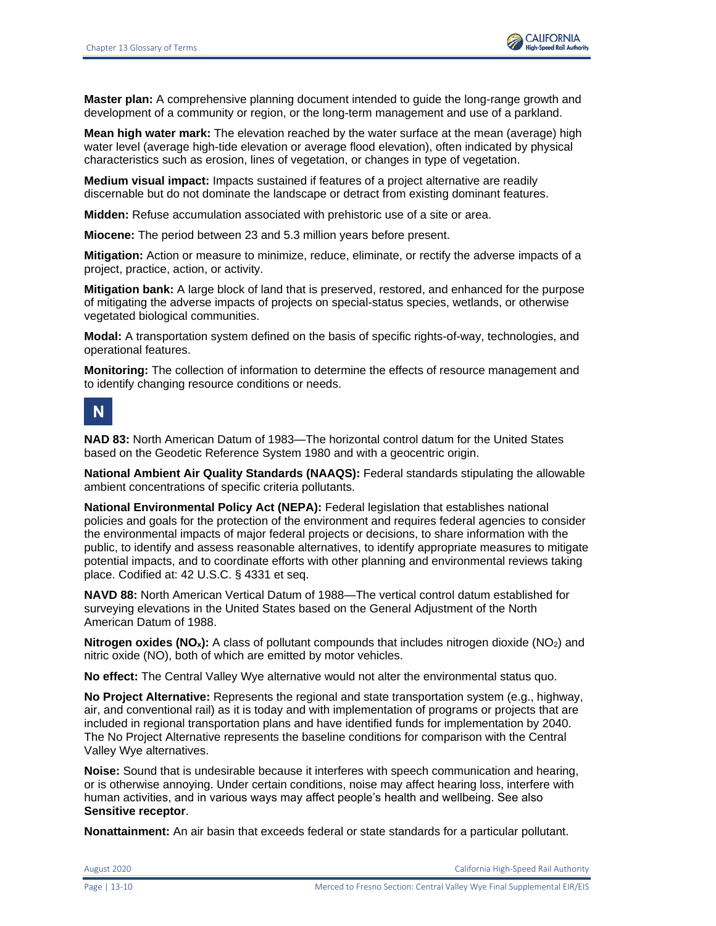

**Master plan:** A comprehensive planning document intended to guide the long-range growth and development of a community or region, or the long-term management and use of a parkland.

**Mean high water mark:** The elevation reached by the water surface at the mean (average) high water level (average high-tide elevation or average flood elevation), often indicated by physical characteristics such as erosion, lines of vegetation, or changes in type of vegetation.

**Medium visual impact:** Impacts sustained if features of a project alternative are readily discernable but do not dominate the landscape or detract from existing dominant features.

**Midden:** Refuse accumulation associated with prehistoric use of a site or area.

**Miocene:** The period between 23 and 5.3 million years before present.

**Mitigation:** Action or measure to minimize, reduce, eliminate, or rectify the adverse impacts of a project, practice, action, or activity.

**Mitigation bank:** A large block of land that is preserved, restored, and enhanced for the purpose of mitigating the adverse impacts of projects on special-status species, wetlands, or otherwise vegetated biological communities.

**Modal:** A transportation system defined on the basis of specific rights-of-way, technologies, and operational features.

**Monitoring:** The collection of information to determine the effects of resource management and to identify changing resource conditions or needs.

# **N**

**NAD 83:** North American Datum of 1983—The horizontal control datum for the United States based on the Geodetic Reference System 1980 and with a geocentric origin.

**National Ambient Air Quality Standards (NAAQS):** Federal standards stipulating the allowable ambient concentrations of specific criteria pollutants.

**National Environmental Policy Act (NEPA):** Federal legislation that establishes national policies and goals for the protection of the environment and requires federal agencies to consider the environmental impacts of major federal projects or decisions, to share information with the public, to identify and assess reasonable alternatives, to identify appropriate measures to mitigate potential impacts, and to coordinate efforts with other planning and environmental reviews taking place. Codified at: 42 U.S.C. § 4331 et seq.

**NAVD 88:** North American Vertical Datum of 1988—The vertical control datum established for surveying elevations in the United States based on the General Adjustment of the North American Datum of 1988.

**Nitrogen oxides (NO<sub>x</sub>):** A class of pollutant compounds that includes nitrogen dioxide (NO<sub>2</sub>) and nitric oxide (NO), both of which are emitted by motor vehicles.

**No effect:** The Central Valley Wye alternative would not alter the environmental status quo.

**No Project Alternative:** Represents the regional and state transportation system (e.g., highway, air, and conventional rail) as it is today and with implementation of programs or projects that are included in regional transportation plans and have identified funds for implementation by 2040. The No Project Alternative represents the baseline conditions for comparison with the Central Valley Wye alternatives.

**Noise:** Sound that is undesirable because it interferes with speech communication and hearing, or is otherwise annoying. Under certain conditions, noise may affect hearing loss, interfere with human activities, and in various ways may affect people's health and wellbeing. See also **Sensitive receptor**.

**Nonattainment:** An air basin that exceeds federal or state standards for a particular pollutant.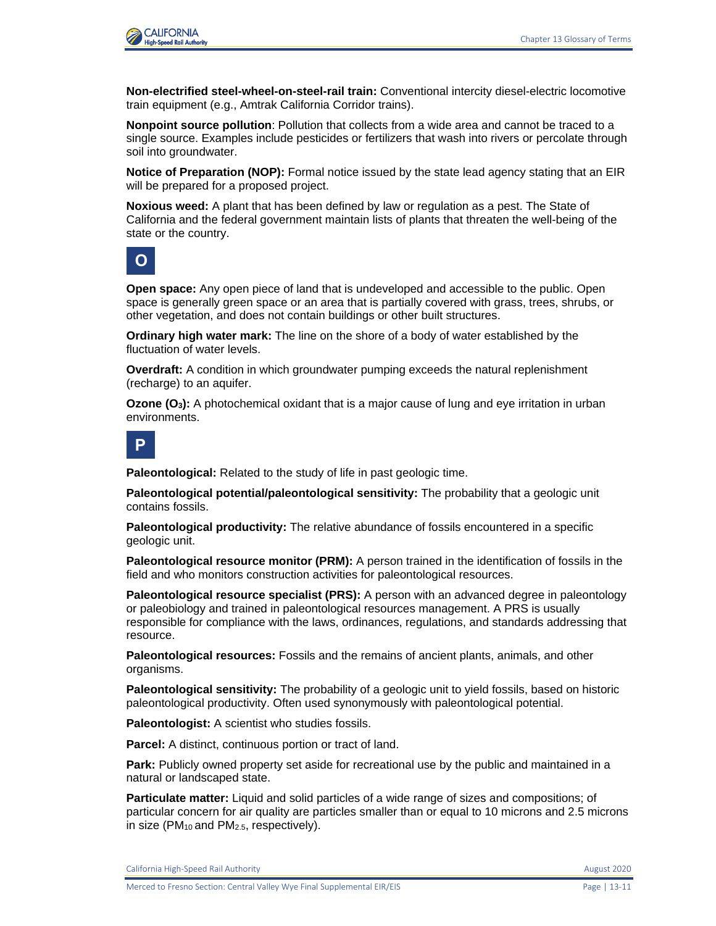

**Non-electrified steel-wheel-on-steel-rail train:** Conventional intercity diesel-electric locomotive train equipment (e.g., Amtrak California Corridor trains).

**Nonpoint source pollution**: Pollution that collects from a wide area and cannot be traced to a single source. Examples include pesticides or fertilizers that wash into rivers or percolate through soil into groundwater.

**Notice of Preparation (NOP):** Formal notice issued by the state lead agency stating that an EIR will be prepared for a proposed project.

**Noxious weed:** A plant that has been defined by law or regulation as a pest. The State of California and the federal government maintain lists of plants that threaten the well-being of the state or the country.

**O**

**Open space:** Any open piece of land that is undeveloped and accessible to the public. Open space is generally green space or an area that is partially covered with grass, trees, shrubs, or other vegetation, and does not contain buildings or other built structures.

**Ordinary high water mark:** The line on the shore of a body of water established by the fluctuation of water levels.

**Overdraft:** A condition in which groundwater pumping exceeds the natural replenishment (recharge) to an aquifer.

**Ozone (O3):** A photochemical oxidant that is a major cause of lung and eye irritation in urban environments.

**P**

**Paleontological:** Related to the study of life in past geologic time.

**Paleontological potential/paleontological sensitivity:** The probability that a geologic unit contains fossils.

**Paleontological productivity:** The relative abundance of fossils encountered in a specific geologic unit.

**Paleontological resource monitor (PRM):** A person trained in the identification of fossils in the field and who monitors construction activities for paleontological resources.

**Paleontological resource specialist (PRS):** A person with an advanced degree in paleontology or paleobiology and trained in paleontological resources management. A PRS is usually responsible for compliance with the laws, ordinances, regulations, and standards addressing that resource.

**Paleontological resources:** Fossils and the remains of ancient plants, animals, and other organisms.

**Paleontological sensitivity:** The probability of a geologic unit to yield fossils, based on historic paleontological productivity. Often used synonymously with paleontological potential.

**Paleontologist:** A scientist who studies fossils.

**Parcel:** A distinct, continuous portion or tract of land.

**Park:** Publicly owned property set aside for recreational use by the public and maintained in a natural or landscaped state.

**Particulate matter:** Liquid and solid particles of a wide range of sizes and compositions; of particular concern for air quality are particles smaller than or equal to 10 microns and 2.5 microns in size ( $PM_{10}$  and  $PM_{2.5}$ , respectively).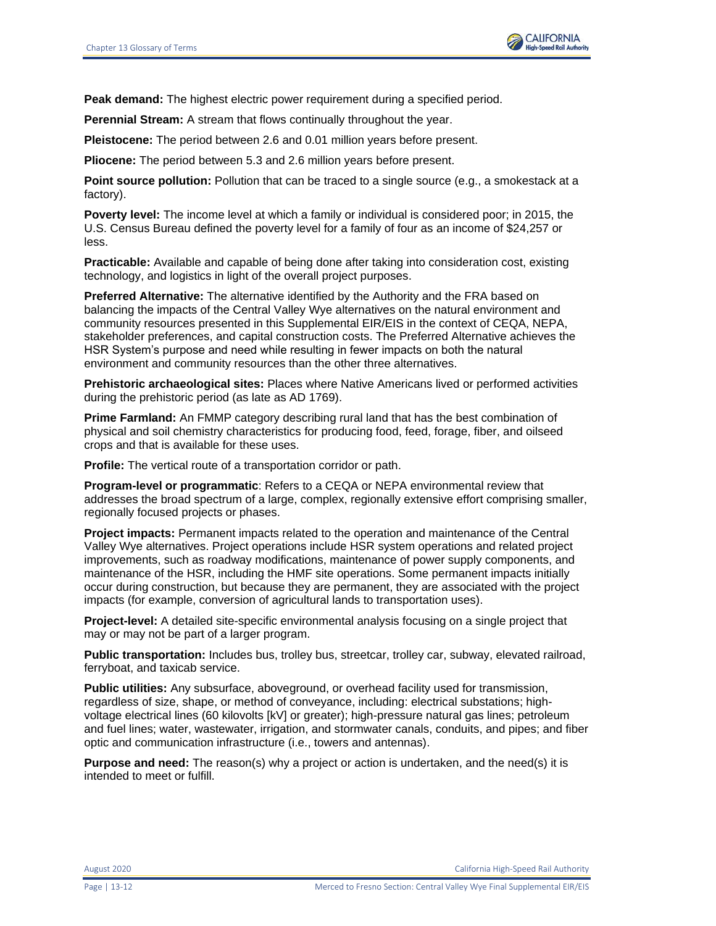

**Peak demand:** The highest electric power requirement during a specified period.

**Perennial Stream:** A stream that flows continually throughout the year.

**Pleistocene:** The period between 2.6 and 0.01 million years before present.

**Pliocene:** The period between 5.3 and 2.6 million years before present.

**Point source pollution:** Pollution that can be traced to a single source (e.g., a smokestack at a factory).

**Poverty level:** The income level at which a family or individual is considered poor; in 2015, the U.S. Census Bureau defined the poverty level for a family of four as an income of \$24,257 or less.

**Practicable:** Available and capable of being done after taking into consideration cost, existing technology, and logistics in light of the overall project purposes.

**Preferred Alternative:** The alternative identified by the Authority and the FRA based on balancing the impacts of the Central Valley Wye alternatives on the natural environment and community resources presented in this Supplemental EIR/EIS in the context of CEQA, NEPA, stakeholder preferences, and capital construction costs. The Preferred Alternative achieves the HSR System's purpose and need while resulting in fewer impacts on both the natural environment and community resources than the other three alternatives.

**Prehistoric archaeological sites:** Places where Native Americans lived or performed activities during the prehistoric period (as late as AD 1769).

**Prime Farmland:** An FMMP category describing rural land that has the best combination of physical and soil chemistry characteristics for producing food, feed, forage, fiber, and oilseed crops and that is available for these uses.

**Profile:** The vertical route of a transportation corridor or path.

**Program-level or programmatic**: Refers to a CEQA or NEPA environmental review that addresses the broad spectrum of a large, complex, regionally extensive effort comprising smaller, regionally focused projects or phases.

**Project impacts:** Permanent impacts related to the operation and maintenance of the Central Valley Wye alternatives. Project operations include HSR system operations and related project improvements, such as roadway modifications, maintenance of power supply components, and maintenance of the HSR, including the HMF site operations. Some permanent impacts initially occur during construction, but because they are permanent, they are associated with the project impacts (for example, conversion of agricultural lands to transportation uses).

**Project-level:** A detailed site-specific environmental analysis focusing on a single project that may or may not be part of a larger program.

**Public transportation:** Includes bus, trolley bus, streetcar, trolley car, subway, elevated railroad, ferryboat, and taxicab service.

**Public utilities:** Any subsurface, aboveground, or overhead facility used for transmission, regardless of size, shape, or method of conveyance, including: electrical substations; highvoltage electrical lines (60 kilovolts [kV] or greater); high-pressure natural gas lines; petroleum and fuel lines; water, wastewater, irrigation, and stormwater canals, conduits, and pipes; and fiber optic and communication infrastructure (i.e., towers and antennas).

**Purpose and need:** The reason(s) why a project or action is undertaken, and the need(s) it is intended to meet or fulfill.

August 2020 California High-Speed Rail Authority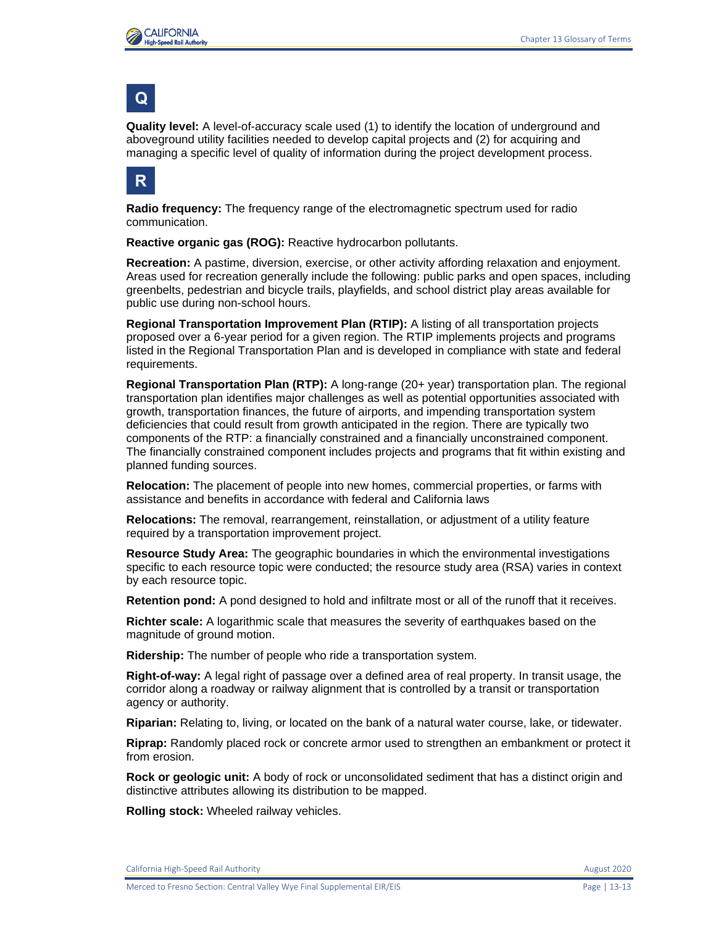

### **Q**

**Quality level:** A level-of-accuracy scale used (1) to identify the location of underground and aboveground utility facilities needed to develop capital projects and (2) for acquiring and managing a specific level of quality of information during the project development process.



**Radio frequency:** The frequency range of the electromagnetic spectrum used for radio communication.

**Reactive organic gas (ROG):** Reactive hydrocarbon pollutants.

**Recreation:** A pastime, diversion, exercise, or other activity affording relaxation and enjoyment. Areas used for recreation generally include the following: public parks and open spaces, including greenbelts, pedestrian and bicycle trails, playfields, and school district play areas available for public use during non-school hours.

**Regional Transportation Improvement Plan (RTIP):** A listing of all transportation projects proposed over a 6-year period for a given region. The RTIP implements projects and programs listed in the Regional Transportation Plan and is developed in compliance with state and federal requirements.

**Regional Transportation Plan (RTP):** A long-range (20+ year) transportation plan. The regional transportation plan identifies major challenges as well as potential opportunities associated with growth, transportation finances, the future of airports, and impending transportation system deficiencies that could result from growth anticipated in the region. There are typically two components of the RTP: a financially constrained and a financially unconstrained component. The financially constrained component includes projects and programs that fit within existing and planned funding sources.

**Relocation:** The placement of people into new homes, commercial properties, or farms with assistance and benefits in accordance with federal and California laws

**Relocations:** The removal, rearrangement, reinstallation, or adjustment of a utility feature required by a transportation improvement project.

**Resource Study Area:** The geographic boundaries in which the environmental investigations specific to each resource topic were conducted; the resource study area (RSA) varies in context by each resource topic.

**Retention pond:** A pond designed to hold and infiltrate most or all of the runoff that it receives.

**Richter scale:** A logarithmic scale that measures the severity of earthquakes based on the magnitude of ground motion.

**Ridership:** The number of people who ride a transportation system.

**Right-of-way:** A legal right of passage over a defined area of real property. In transit usage, the corridor along a roadway or railway alignment that is controlled by a transit or transportation agency or authority.

**Riparian:** Relating to, living, or located on the bank of a natural water course, lake, or tidewater.

**Riprap:** Randomly placed rock or concrete armor used to strengthen an embankment or protect it from erosion.

**Rock or geologic unit:** A body of rock or unconsolidated sediment that has a distinct origin and distinctive attributes allowing its distribution to be mapped.

**Rolling stock:** Wheeled railway vehicles.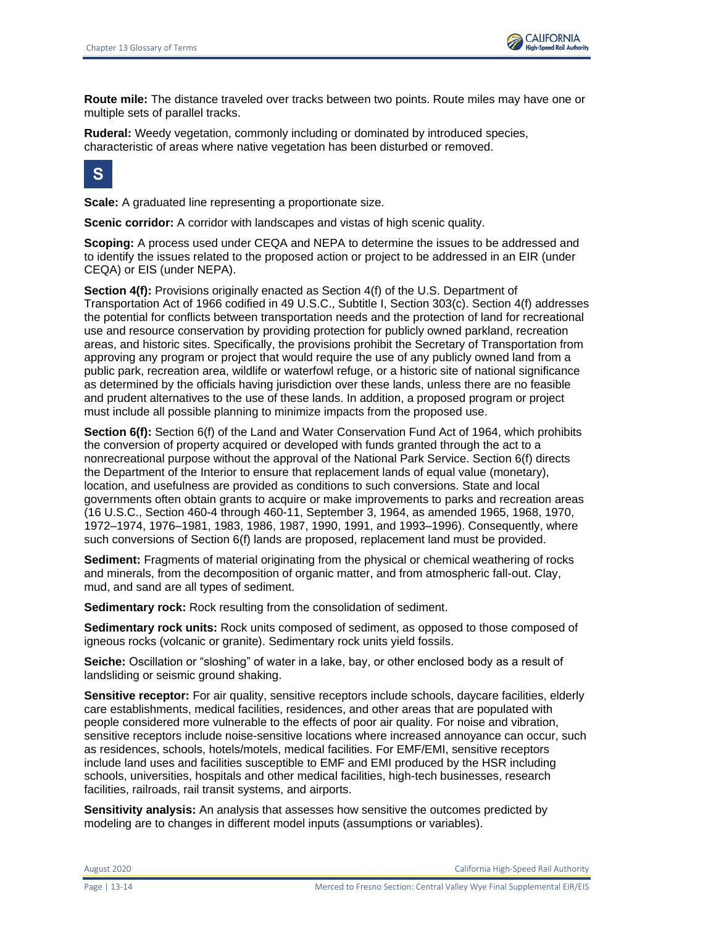

**Route mile:** The distance traveled over tracks between two points. Route miles may have one or multiple sets of parallel tracks.

**Ruderal:** Weedy vegetation, commonly including or dominated by introduced species, characteristic of areas where native vegetation has been disturbed or removed.



**Scale:** A graduated line representing a proportionate size.

**Scenic corridor:** A corridor with landscapes and vistas of high scenic quality.

**Scoping:** A process used under CEQA and NEPA to determine the issues to be addressed and to identify the issues related to the proposed action or project to be addressed in an EIR (under CEQA) or EIS (under NEPA).

**Section 4(f):** Provisions originally enacted as Section 4(f) of the U.S. Department of Transportation Act of 1966 codified in 49 U.S.C., Subtitle I, Section 303(c). Section 4(f) addresses the potential for conflicts between transportation needs and the protection of land for recreational use and resource conservation by providing protection for publicly owned parkland, recreation areas, and historic sites. Specifically, the provisions prohibit the Secretary of Transportation from approving any program or project that would require the use of any publicly owned land from a public park, recreation area, wildlife or waterfowl refuge, or a historic site of national significance as determined by the officials having jurisdiction over these lands, unless there are no feasible and prudent alternatives to the use of these lands. In addition, a proposed program or project must include all possible planning to minimize impacts from the proposed use.

**Section 6(f):** Section 6(f) of the Land and Water Conservation Fund Act of 1964, which prohibits the conversion of property acquired or developed with funds granted through the act to a nonrecreational purpose without the approval of the National Park Service. Section 6(f) directs the Department of the Interior to ensure that replacement lands of equal value (monetary), location, and usefulness are provided as conditions to such conversions. State and local governments often obtain grants to acquire or make improvements to parks and recreation areas (16 U.S.C., Section 460-4 through 460-11, September 3, 1964, as amended 1965, 1968, 1970, 1972–1974, 1976–1981, 1983, 1986, 1987, 1990, 1991, and 1993–1996). Consequently, where such conversions of Section 6(f) lands are proposed, replacement land must be provided.

**Sediment:** Fragments of material originating from the physical or chemical weathering of rocks and minerals, from the decomposition of organic matter, and from atmospheric fall-out. Clay, mud, and sand are all types of sediment.

**Sedimentary rock:** Rock resulting from the consolidation of sediment.

**Sedimentary rock units:** Rock units composed of sediment, as opposed to those composed of igneous rocks (volcanic or granite). Sedimentary rock units yield fossils.

**Seiche:** Oscillation or "sloshing" of water in a lake, bay, or other enclosed body as a result of landsliding or seismic ground shaking.

**Sensitive receptor:** For air quality, sensitive receptors include schools, daycare facilities, elderly care establishments, medical facilities, residences, and other areas that are populated with people considered more vulnerable to the effects of poor air quality. For noise and vibration, sensitive receptors include noise-sensitive locations where increased annoyance can occur, such as residences, schools, hotels/motels, medical facilities. For EMF/EMI, sensitive receptors include land uses and facilities susceptible to EMF and EMI produced by the HSR including schools, universities, hospitals and other medical facilities, high-tech businesses, research facilities, railroads, rail transit systems, and airports.

**Sensitivity analysis:** An analysis that assesses how sensitive the outcomes predicted by modeling are to changes in different model inputs (assumptions or variables).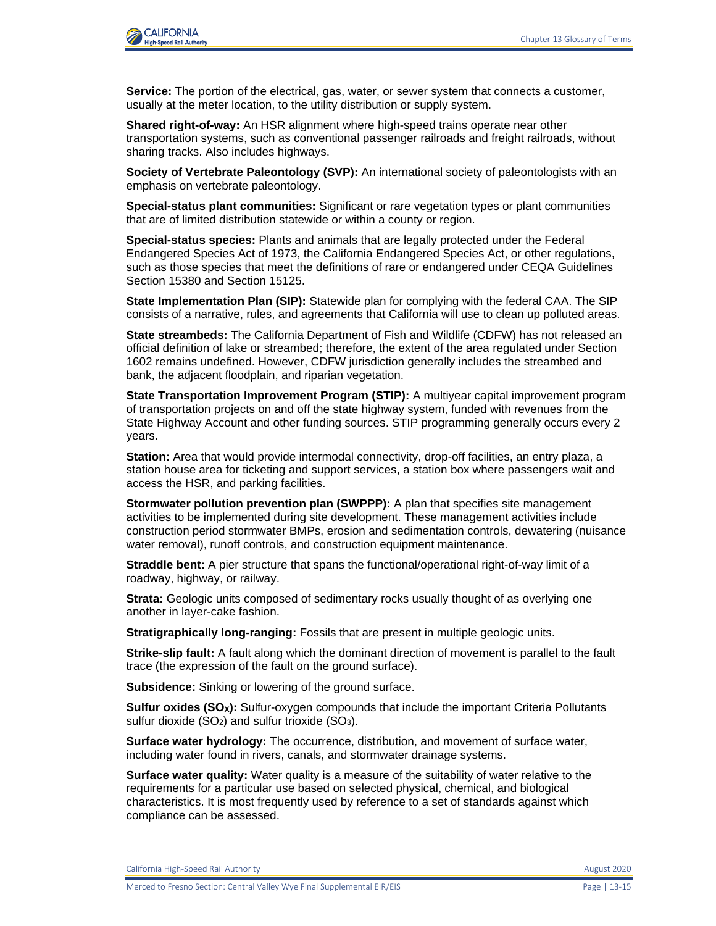

**Service:** The portion of the electrical, gas, water, or sewer system that connects a customer, usually at the meter location, to the utility distribution or supply system.

**Shared right-of-way:** An HSR alignment where high-speed trains operate near other transportation systems, such as conventional passenger railroads and freight railroads, without sharing tracks. Also includes highways.

**Society of Vertebrate Paleontology (SVP):** An international society of paleontologists with an emphasis on vertebrate paleontology.

**Special-status plant communities:** Significant or rare vegetation types or plant communities that are of limited distribution statewide or within a county or region.

**Special-status species:** Plants and animals that are legally protected under the Federal Endangered Species Act of 1973, the California Endangered Species Act, or other regulations, such as those species that meet the definitions of rare or endangered under CEQA Guidelines Section 15380 and Section 15125.

**State Implementation Plan (SIP):** Statewide plan for complying with the federal CAA. The SIP consists of a narrative, rules, and agreements that California will use to clean up polluted areas.

**State streambeds:** The California Department of Fish and Wildlife (CDFW) has not released an official definition of lake or streambed; therefore, the extent of the area regulated under Section 1602 remains undefined. However, CDFW jurisdiction generally includes the streambed and bank, the adjacent floodplain, and riparian vegetation.

**State Transportation Improvement Program (STIP):** A multiyear capital improvement program of transportation projects on and off the state highway system, funded with revenues from the State Highway Account and other funding sources. STIP programming generally occurs every 2 years.

**Station:** Area that would provide intermodal connectivity, drop-off facilities, an entry plaza, a station house area for ticketing and support services, a station box where passengers wait and access the HSR, and parking facilities.

**Stormwater pollution prevention plan (SWPPP):** A plan that specifies site management activities to be implemented during site development. These management activities include construction period stormwater BMPs, erosion and sedimentation controls, dewatering (nuisance water removal), runoff controls, and construction equipment maintenance.

**Straddle bent:** A pier structure that spans the functional/operational right-of-way limit of a roadway, highway, or railway.

**Strata:** Geologic units composed of sedimentary rocks usually thought of as overlying one another in layer-cake fashion.

**Stratigraphically long-ranging:** Fossils that are present in multiple geologic units.

**Strike-slip fault:** A fault along which the dominant direction of movement is parallel to the fault trace (the expression of the fault on the ground surface).

**Subsidence:** Sinking or lowering of the ground surface.

**Sulfur oxides (SOX):** Sulfur-oxygen compounds that include the important Criteria Pollutants sulfur dioxide  $(SO<sub>2</sub>)$  and sulfur trioxide  $(SO<sub>3</sub>)$ .

**Surface water hydrology:** The occurrence, distribution, and movement of surface water, including water found in rivers, canals, and stormwater drainage systems.

**Surface water quality:** Water quality is a measure of the suitability of water relative to the requirements for a particular use based on selected physical, chemical, and biological characteristics. It is most frequently used by reference to a set of standards against which compliance can be assessed.

California High-Speed Rail Authority **August 2020** 2020

Merced to Fresno Section: Central Valley Wye Final Supplemental EIR/EIS Page | 13-15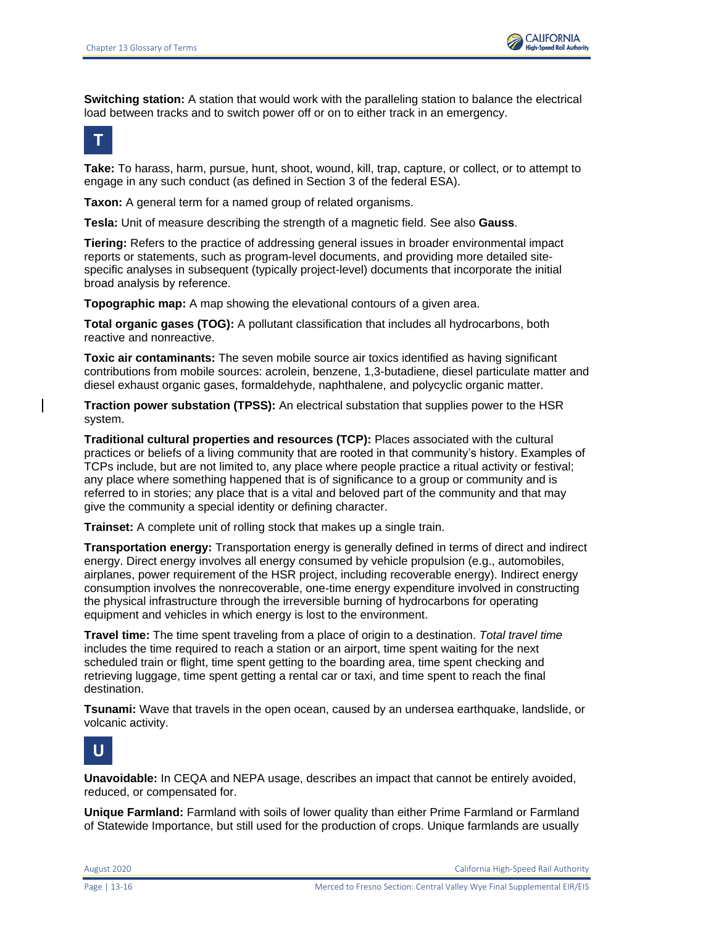

**Switching station:** A station that would work with the paralleling station to balance the electrical load between tracks and to switch power off or on to either track in an emergency.

### **T**

**Take:** To harass, harm, pursue, hunt, shoot, wound, kill, trap, capture, or collect, or to attempt to engage in any such conduct (as defined in Section 3 of the federal ESA).

**Taxon:** A general term for a named group of related organisms.

**Tesla:** Unit of measure describing the strength of a magnetic field. See also **Gauss**.

**Tiering:** Refers to the practice of addressing general issues in broader environmental impact reports or statements, such as program-level documents, and providing more detailed sitespecific analyses in subsequent (typically project-level) documents that incorporate the initial broad analysis by reference.

**Topographic map:** A map showing the elevational contours of a given area.

**Total organic gases (TOG):** A pollutant classification that includes all hydrocarbons, both reactive and nonreactive.

**Toxic air contaminants:** The seven mobile source air toxics identified as having significant contributions from mobile sources: acrolein, benzene, 1,3-butadiene, diesel particulate matter and diesel exhaust organic gases, formaldehyde, naphthalene, and polycyclic organic matter.

**Traction power substation (TPSS):** An electrical substation that supplies power to the HSR system.

**Traditional cultural properties and resources (TCP):** Places associated with the cultural practices or beliefs of a living community that are rooted in that community's history. Examples of TCPs include, but are not limited to, any place where people practice a ritual activity or festival; any place where something happened that is of significance to a group or community and is referred to in stories; any place that is a vital and beloved part of the community and that may give the community a special identity or defining character.

**Trainset:** A complete unit of rolling stock that makes up a single train.

**Transportation energy:** Transportation energy is generally defined in terms of direct and indirect energy. Direct energy involves all energy consumed by vehicle propulsion (e.g., automobiles, airplanes, power requirement of the HSR project, including recoverable energy). Indirect energy consumption involves the nonrecoverable, one-time energy expenditure involved in constructing the physical infrastructure through the irreversible burning of hydrocarbons for operating equipment and vehicles in which energy is lost to the environment.

**Travel time:** The time spent traveling from a place of origin to a destination. *Total travel time* includes the time required to reach a station or an airport, time spent waiting for the next scheduled train or flight, time spent getting to the boarding area, time spent checking and retrieving luggage, time spent getting a rental car or taxi, and time spent to reach the final destination.

**Tsunami:** Wave that travels in the open ocean, caused by an undersea earthquake, landslide, or volcanic activity.



**Unavoidable:** In CEQA and NEPA usage, describes an impact that cannot be entirely avoided, reduced, or compensated for.

**Unique Farmland:** Farmland with soils of lower quality than either Prime Farmland or Farmland of Statewide Importance, but still used for the production of crops. Unique farmlands are usually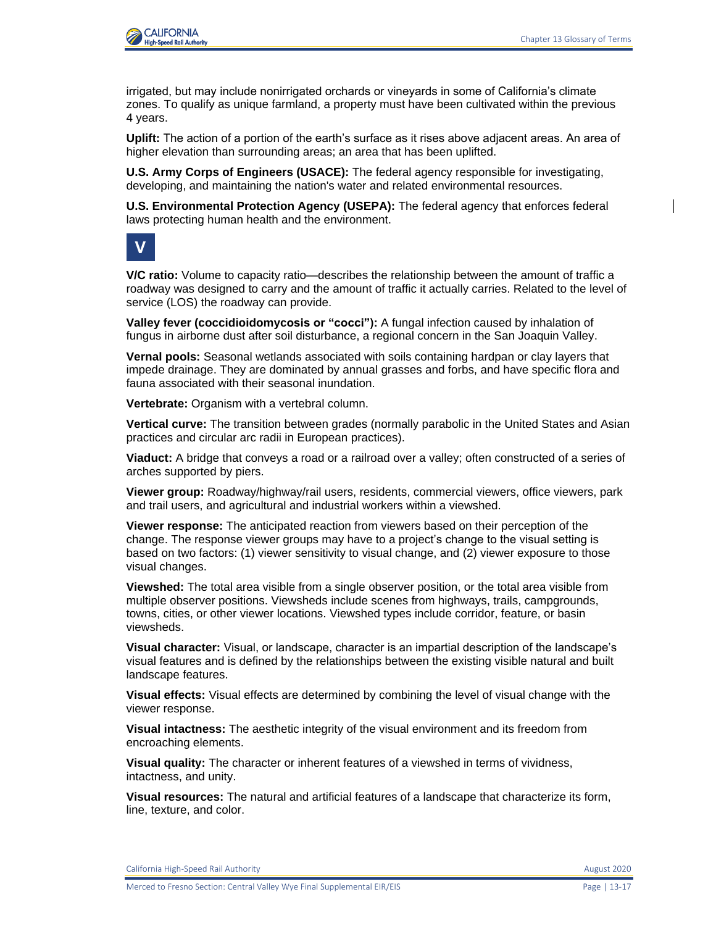

irrigated, but may include nonirrigated orchards or vineyards in some of California's climate zones. To qualify as unique farmland, a property must have been cultivated within the previous 4 years.

**Uplift:** The action of a portion of the earth's surface as it rises above adjacent areas. An area of higher elevation than surrounding areas; an area that has been uplifted.

**U.S. Army Corps of Engineers (USACE):** The federal agency responsible for investigating, developing, and maintaining the nation's water and related environmental resources.

**U.S. Environmental Protection Agency (USEPA):** The federal agency that enforces federal laws protecting human health and the environment.



**V/C ratio:** Volume to capacity ratio—describes the relationship between the amount of traffic a roadway was designed to carry and the amount of traffic it actually carries. Related to the level of service (LOS) the roadway can provide.

**Valley fever (coccidioidomycosis or "cocci"):** A fungal infection caused by inhalation of fungus in airborne dust after soil disturbance, a regional concern in the San Joaquin Valley.

**Vernal pools:** Seasonal wetlands associated with soils containing hardpan or clay layers that impede drainage. They are dominated by annual grasses and forbs, and have specific flora and fauna associated with their seasonal inundation.

**Vertebrate:** Organism with a vertebral column.

**Vertical curve:** The transition between grades (normally parabolic in the United States and Asian practices and circular arc radii in European practices).

**Viaduct:** A bridge that conveys a road or a railroad over a valley; often constructed of a series of arches supported by piers.

**Viewer group:** Roadway/highway/rail users, residents, commercial viewers, office viewers, park and trail users, and agricultural and industrial workers within a viewshed.

**Viewer response:** The anticipated reaction from viewers based on their perception of the change. The response viewer groups may have to a project's change to the visual setting is based on two factors: (1) viewer sensitivity to visual change, and (2) viewer exposure to those visual changes.

**Viewshed:** The total area visible from a single observer position, or the total area visible from multiple observer positions. Viewsheds include scenes from highways, trails, campgrounds, towns, cities, or other viewer locations. Viewshed types include corridor, feature, or basin viewsheds.

**Visual character:** Visual, or landscape, character is an impartial description of the landscape's visual features and is defined by the relationships between the existing visible natural and built landscape features.

**Visual effects:** Visual effects are determined by combining the level of visual change with the viewer response.

**Visual intactness:** The aesthetic integrity of the visual environment and its freedom from encroaching elements.

**Visual quality:** The character or inherent features of a viewshed in terms of vividness, intactness, and unity.

**Visual resources:** The natural and artificial features of a landscape that characterize its form, line, texture, and color.